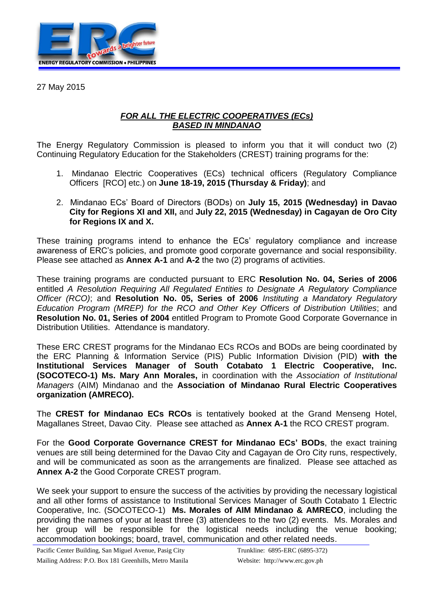

27 May 2015

## *FOR ALL THE ELECTRIC COOPERATIVES (ECs) BASED IN MINDANAO*

The Energy Regulatory Commission is pleased to inform you that it will conduct two (2) Continuing Regulatory Education for the Stakeholders (CREST) training programs for the:

- 1. Mindanao Electric Cooperatives (ECs) technical officers (Regulatory Compliance Officers [RCO] etc.) on **June 18-19, 2015 (Thursday & Friday)**; and
- 2. Mindanao ECs' Board of Directors (BODs) on **July 15, 2015 (Wednesday) in Davao City for Regions XI and XII,** and **July 22, 2015 (Wednesday) in Cagayan de Oro City for Regions IX and X.**

These training programs intend to enhance the ECs' regulatory compliance and increase awareness of ERC's policies, and promote good corporate governance and social responsibility. Please see attached as **Annex A-1** and **A-2** the two (2) programs of activities.

These training programs are conducted pursuant to ERC **Resolution No. 04, Series of 2006**  entitled *A Resolution Requiring All Regulated Entities to Designate A Regulatory Compliance Officer (RCO)*; and **Resolution No. 05, Series of 2006** *Instituting a Mandatory Regulatory Education Program (MREP) for the RCO and Other Key Officers of Distribution Utilities*; and **Resolution No. 01, Series of 2004** entitled Program to Promote Good Corporate Governance in Distribution Utilities. Attendance is mandatory.

These ERC CREST programs for the Mindanao ECs RCOs and BODs are being coordinated by the ERC Planning & Information Service (PIS) Public Information Division (PID) **with the Institutional Services Manager of South Cotabato 1 Electric Cooperative, Inc. (SOCOTECO-1) Ms. Mary Ann Morales,** in coordination with the *Association of Institutional Managers* (AIM) Mindanao and the **Association of Mindanao Rural Electric Cooperatives organization (AMRECO).**

The **CREST for Mindanao ECs RCOs** is tentatively booked at the Grand Menseng Hotel, Magallanes Street, Davao City. Please see attached as **Annex A-1** the RCO CREST program.

For the **Good Corporate Governance CREST for Mindanao ECs' BODs**, the exact training venues are still being determined for the Davao City and Cagayan de Oro City runs, respectively, and will be communicated as soon as the arrangements are finalized. Please see attached as **Annex A-2** the Good Corporate CREST program.

We seek your support to ensure the success of the activities by providing the necessary logistical and all other forms of assistance to Institutional Services Manager of South Cotabato 1 Electric Cooperative, Inc. (SOCOTECO-1) **Ms. Morales of AIM Mindanao & AMRECO**, including the providing the names of your at least three (3) attendees to the two (2) events. Ms. Morales and her group will be responsible for the logistical needs including the venue booking; accommodation bookings; board, travel, communication and other related needs.